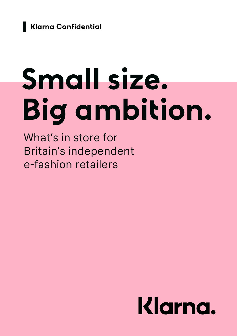

# **Small size. Big ambition.**

What's in store for Britain's independent e-fashion retailers

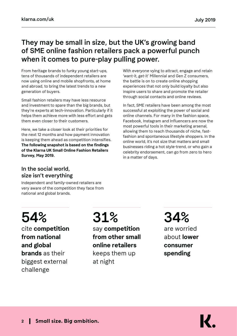### They may be small in size, but the UK's growing band of SME online fashion retailers pack a powerful punch when it comes to pure-play pulling power.

From heritage brands to funky young start-ups, tens of thousands of independent retailers are now using online and mobile shopfronts, at home and abroad, to bring the latest trends to a new generation of buyers.

Small fashion retailers may have less resource and investment to spare than the big brands, but they're experts at tech-innovation. Particularly if it helps them achieve more with less effort and gets them even closer to their customers.

Here, we take a closer look at their priorities for the next 12 months and how payment innovation is keeping them ahead as competition intensifies. **The following snapshot is based on the findings of the Klarna UK Small Online Fashion Retailers Survey, May 2019.**

With everyone vying to attract, engage and retain 'want-it, get-it' Millennial and Gen Z consumers, the battle is on to create online shopping experiences that not only build loyalty but also inspire users to share and promote the retailer through social contacts and online reviews.

In fact, SME retailers have been among the most successful at exploiting the power of social and online channels. For many in the fashion space, Facebook, Instagram and Influencers are now the most powerful tools in their marketing arsenal, allowing them to reach thousands of niche, fastfashion and spontaneous lifestyle shoppers. In the online world, it's not size that matters and small businesses riding a hot style-trend, or who gain a celebrity endorsement, can go from zero to hero in a matter of days.

#### In the social world, size isn't everything

Independent and family-owned retailers are very aware of the competition they face from national and global brands.

# 54%

cite **competition from national and global brands** as their biggest external challenge

# 31%

say **competition from other small online retailers**  keeps them up at night

# 34%

are worried about **lower consumer spending**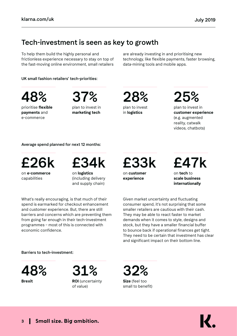### Tech-investment is seen as key to growth

To help them build the highly personal and frictionless experience necessary to stay on top of the fast-moving online environment, small retailers are already investing in and prioritising new technology, like flexible payments, faster browsing, data-mining tools and mobile apps.

UK small fashion retailers' tech-priorities:

48%

prioritise **flexible payments** and e-commerce

plan to invest in 37%

**marketing tech** 

plan to invest 28%

in **logistics**

25%

plan to invest in **customer experience** (e.g. augmented reality, catwalk videos, chatbots)

Average spend planned for next 12 months:



on **e-commerce**  capabilities



on **logistics** (including delivery and supply chain)

What's really encouraging, is that much of their spend is earmarked for checkout enhancement and customer experience. But, there are still barriers and concerns which are preventing them from going far enough in their tech-investment programmes – most of this is connected with economic confidence.

£33k

on **customer experience** 

on **tech** to £47k

**scale business internationally** 

Given market uncertainty and fluctuating consumer spend, it's not surprising that some smaller retailers are cautious with their cash. They may be able to react faster to market demands when it comes to style, designs and stock, but they have a smaller financial buffer to bounce back if operational finances get tight. They need to be certain that investment has clear and significant impact on their bottom line.

#### Barriers to tech-investment:

**Brexit** 48%



**Size** (feel too small to benefit) 32%

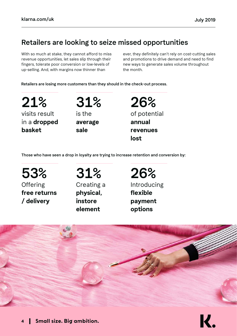# Retailers are looking to seize missed opportunities

With so much at stake, they cannot afford to miss revenue opportunities, let sales slip through their fingers, tolerate poor conversion or low-levels of up-selling. And, with margins now thinner than

ever, they definitely can't rely on cost-cutting sales and promotions to drive demand and need to find new ways to generate sales volume throughout the month.

Retailers are losing more customers than they should in the check-out process.

visits result in a **dropped basket** 21%

is the **average sale** 31%

of potential **annual revenues lost** 26%

Those who have seen a drop in loyalty are trying to increase retention and conversion by:

**Offering free returns / delivery** 53%

# 31%

Creating a **physical, instore element**

# 26%

Introducing **flexible payment options**

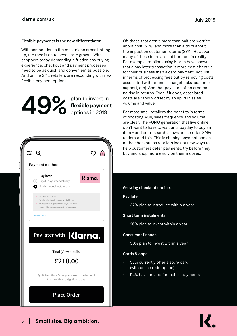#### Flexible payments is the new differentiator

With competition in the most niche areas hotting up, the race is on to accelerate growth. With shoppers today demanding a frictionless buying experience, checkout and payment processes need to be as quick and convenient as possible. And online SME retailers are responding with new flexible payment options.

**flexible payment**<br> **decisions** in 2019.



Off those that aren't, more than half are worried about cost (53%) and more than a third about the impact on customer returns (37%). However, many of these fears are not born out in reality. For example, retailers using Klarna have shown that a pay later transaction is more cost effective for their business than a card payment (not just in terms of processing fees but by removing costs associated with refunds, chargebacks, customer support, etc). And that pay later, often creates no rise in returns. Even if it does, associated costs are rapidly offset by an uplift in sales volume and value.

For most small retailers the benefits in terms of boosting AOV, sales frequency and volume are clear. The FOMO generation that live online don't want to have to wait until payday to buy an item – and our research shows online retail SMEs understand this. This is shaping payment choice at the checkout as retailers look at new ways to help customers defer payments, try before they buy and shop more easily on their mobiles.

#### Growing checkout choice:

#### Pay later

• 32% plan to introduce within a year

#### Short term instalments

• 26% plan to invest within a year

#### Consumer finance

• 30% plan to invest within a year

#### Cards & apps

- 53% currently offer a store card (with online redemption)
- 54% have an app for mobile payments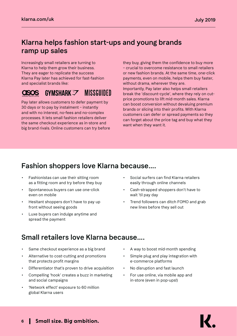### Klarna helps fashion start-ups and young brands ramp up sales

Increasingly small retailers are turning to Klarna to help them grow their business. They are eager to replicate the success Klarna Pay later has achieved for fast-fashion and specialist brands like:

# GYMSHARK 7 MISSGUIDED

Pay later allows customers to defer payment by 30 days or to pay by instalment – instantly and with no interest, no-fees and no-complex processes. It lets small fashion retailers deliver the same checkout experience as in-store and big brand rivals. Online customers can try before they buy, giving them the confidence to buy more – crucial to overcome resistance to small retailers or new fashion brands. At the same time, one-click payments, even on mobile, helps them buy faster, without drama, wherever they are. Importantly, Pay later also helps small retailers break the 'discount-cycle', where they rely on cutprice promotions to lift mid-month sales. Klarna can boost conversion without devaluing premium brands or slicing into their profits. With Klarna customers can defer or spread payments so they can forget about the price tag and buy what they want when they want it.

# Fashion shoppers love Klarna because….

- Fashionistas can use their sitting room as a fitting room and try before they buy
- Spontaneous buyers can use one-click even on mobile
- Hesitant shoppers don't have to pay up front without seeing goods
- Luxe buyers can indulge anytime and spread the payment
- Social surfers can find Klarna retailers easily through online channels
- Cash-strapped shoppers don't have to wait 'til pay day
- Trend followers can ditch FOMO and grab new lines before they sell out

### Small retailers love Klarna because….

- Same checkout experience as a big brand
- Alternative to cost-cutting and promotions that protects profit margins
- Differentiator that's proven to drive acquisition
- Compelling 'hook' creates a buzz in marketing and social campaigns
- 'Network effect' exposure to 60 million global Klarna users
- A way to boost mid-month spending
- Simple plug and play integration with e-commerce platforms
- No disruption and fast launch
- For use online, via mobile app and in-store (even in pop-ups!)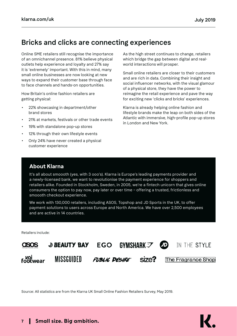### Bricks and clicks are connecting experiences

Online SME retailers still recognise the importance of an omnichannel presence. 81% believe physical outlets help experience and loyalty and 27% say it is 'extremely' important. With this in mind, many small online businesses are now looking at new ways to expand their customer base through face to face channels and hands-on opportunities.

How Britain's online fashion retailers are getting physical:

- 22% showcasing in department/other brand stores
- 21% at markets, festivals or other trade events
- 19% with standalone pop-up stores
- 12% through their own lifestyle events
- Only 24% have never created a physical customer experience

As the high street continues to change, retailers which bridge the gap between digital and realworld interactions will prosper.

Small online retailers are closer to their customers and are rich in data. Combining their insight and social influencer networks, with the visual glamour of a physical store, they have the power to reimagine the retail experience and pave the way for exciting new 'clicks and bricks' experiences.

Klarna is already helping online fashion and lifestyle brands make the leap on both sides of the Atlantic with immersive, high-profile pop-up stores in London and New York.

#### **About Klarna**

It's all about smoooth (yes, with 3 ooo's). Klarna is Europe's leading payments provider and a newly-licensed bank, we want to revolutionise the payment experience for shoppers and retailers alike. Founded in Stockholm, Sweden, in 2005, we're a fintech unicorn that gives online consumers the option to pay now, pay later or over time – offering a trusted, frictionless and smoooth checkout experience.

We work with 130,000 retailers, including ASOS, Topshop and JD Sports in the UK, to offer payment solutions to users across Europe and North America. We have over 2,500 employees and are active in 14 countries.

Retailers include:



Source: All statistics are from the Klarna UK Small Online Fashion Retailers Survey, May 2019.